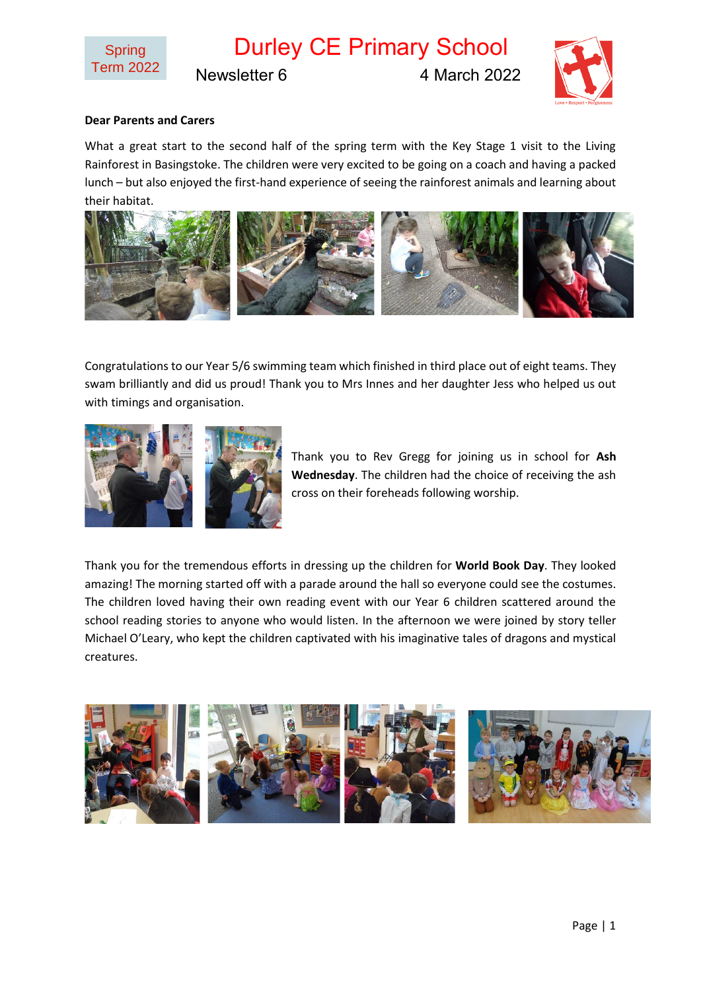

Durley CE Primary School

Newsletter 6 4 March 2022



## **Dear Parents and Carers**

What a great start to the second half of the spring term with the Key Stage 1 visit to the Living Rainforest in Basingstoke. The children were very excited to be going on a coach and having a packed lunch – but also enjoyed the first-hand experience of seeing the rainforest animals and learning about their habitat.



Congratulations to our Year 5/6 swimming team which finished in third place out of eight teams. They swam brilliantly and did us proud! Thank you to Mrs Innes and her daughter Jess who helped us out with timings and organisation.



Thank you to Rev Gregg for joining us in school for **Ash Wednesday**. The children had the choice of receiving the ash cross on their foreheads following worship.

Thank you for the tremendous efforts in dressing up the children for **World Book Day**. They looked amazing! The morning started off with a parade around the hall so everyone could see the costumes. The children loved having their own reading event with our Year 6 children scattered around the school reading stories to anyone who would listen. In the afternoon we were joined by story teller Michael O'Leary, who kept the children captivated with his imaginative tales of dragons and mystical creatures.

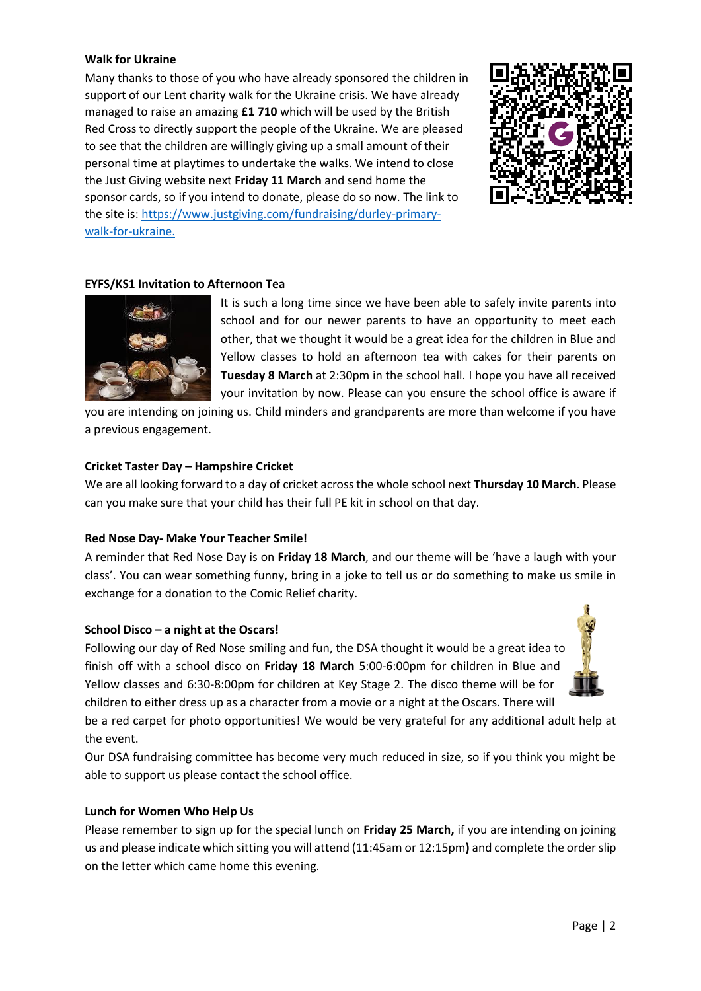### **Walk for Ukraine**

Many thanks to those of you who have already sponsored the children in support of our Lent charity walk for the Ukraine crisis. We have already managed to raise an amazing **£1 710** which will be used by the British Red Cross to directly support the people of the Ukraine. We are pleased to see that the children are willingly giving up a small amount of their personal time at playtimes to undertake the walks. We intend to close the Just Giving website next **Friday 11 March** and send home the sponsor cards, so if you intend to donate, please do so now. The link to the site is: [https://www.justgiving.com/fundraising/durley-primary](https://www.justgiving.com/fundraising/durley-primary-walk-for-ukraine)[walk-for-ukraine.](https://www.justgiving.com/fundraising/durley-primary-walk-for-ukraine)



# **EYFS/KS1 Invitation to Afternoon Tea**



It is such a long time since we have been able to safely invite parents into school and for our newer parents to have an opportunity to meet each other, that we thought it would be a great idea for the children in Blue and Yellow classes to hold an afternoon tea with cakes for their parents on **Tuesday 8 March** at 2:30pm in the school hall. I hope you have all received your invitation by now. Please can you ensure the school office is aware if

you are intending on joining us. Child minders and grandparents are more than welcome if you have a previous engagement.

# **Cricket Taster Day – Hampshire Cricket**

We are all looking forward to a day of cricket across the whole school next **Thursday 10 March**. Please can you make sure that your child has their full PE kit in school on that day.

### **Red Nose Day- Make Your Teacher Smile!**

A reminder that Red Nose Day is on **Friday 18 March**, and our theme will be 'have a laugh with your class'. You can wear something funny, bring in a joke to tell us or do something to make us smile in exchange for a donation to the Comic Relief charity.

### **School Disco – a night at the Oscars!**

Following our day of Red Nose smiling and fun, the DSA thought it would be a great idea to finish off with a school disco on **Friday 18 March** 5:00-6:00pm for children in Blue and Yellow classes and 6:30-8:00pm for children at Key Stage 2. The disco theme will be for children to either dress up as a character from a movie or a night at the Oscars. There will

be a red carpet for photo opportunities! We would be very grateful for any additional adult help at the event.

Our DSA fundraising committee has become very much reduced in size, so if you think you might be able to support us please contact the school office.

### **Lunch for Women Who Help Us**

Please remember to sign up for the special lunch on **Friday 25 March,** if you are intending on joining us and please indicate which sitting you will attend (11:45am or 12:15pm**)** and complete the order slip on the letter which came home this evening.